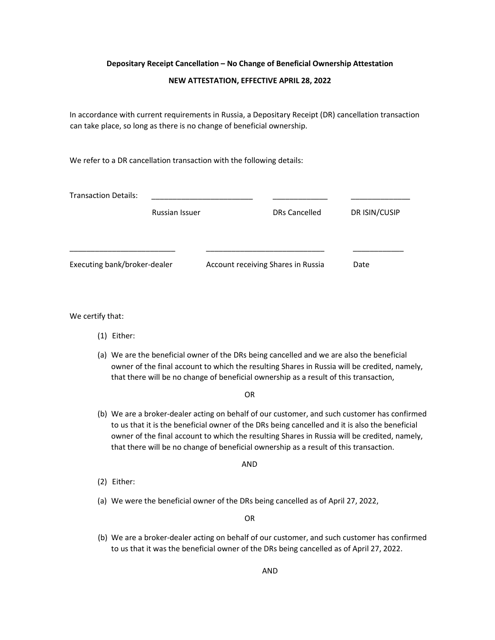## **Depositary Receipt Cancellation – No Change of Beneficial Ownership Attestation**

## **NEW ATTESTATION, EFFECTIVE APRIL 28, 2022**

In accordance with current requirements in Russia, a Depositary Receipt (DR) cancellation transaction can take place, so long as there is no change of beneficial ownership.

We refer to a DR cancellation transaction with the following details:

| <b>Transaction Details:</b>  |                       |                                    |               |
|------------------------------|-----------------------|------------------------------------|---------------|
|                              | <b>Russian Issuer</b> | <b>DRs Cancelled</b>               | DR ISIN/CUSIP |
|                              |                       |                                    |               |
| Executing bank/broker-dealer |                       | Account receiving Shares in Russia | Date          |

We certify that:

- (1) Either:
- (a) We are the beneficial owner of the DRs being cancelled and we are also the beneficial owner of the final account to which the resulting Shares in Russia will be credited, namely, that there will be no change of beneficial ownership as a result of this transaction,

OR

(b) We are a broker-dealer acting on behalf of our customer, and such customer has confirmed to us that it is the beneficial owner of the DRs being cancelled and it is also the beneficial owner of the final account to which the resulting Shares in Russia will be credited, namely, that there will be no change of beneficial ownership as a result of this transaction.

AND

- (2) Either:
- (a) We were the beneficial owner of the DRs being cancelled as of April 27, 2022,

OR

(b) We are a broker-dealer acting on behalf of our customer, and such customer has confirmed to us that it was the beneficial owner of the DRs being cancelled as of April 27, 2022.